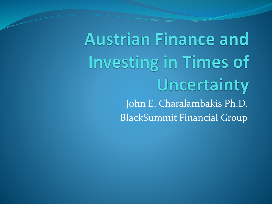**Austrian Finance and Investing in Times of** Uncertainty John E. Charalambakis Ph.D. BlackSummit Financial Group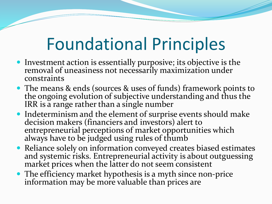### Foundational Principles

- Investment action is essentially purposive; its objective is the removal of uneasiness not necessarily maximization under constraints
- The means & ends (sources & uses of funds) framework points to the ongoing evolution of subjective understanding and thus the IRR is a range rather than a single number
- Indeterminism and the element of surprise events should make decision makers (financiers and investors) alert to entrepreneurial perceptions of market opportunities which always have to be judged using rules of thumb
- Reliance solely on information conveyed creates biased estimates and systemic risks. Entrepreneurial activity is about outguessing market prices when the latter do not seem consistent
- The efficiency market hypothesis is a myth since non-price information may be more valuable than prices are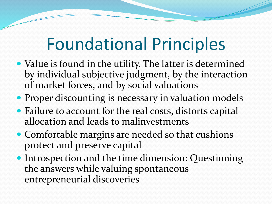### Foundational Principles

- Value is found in the utility. The latter is determined by individual subjective judgment, by the interaction of market forces, and by social valuations
- Proper discounting is necessary in valuation models
- Failure to account for the real costs, distorts capital allocation and leads to malinvestments
- Comfortable margins are needed so that cushions protect and preserve capital
- Introspection and the time dimension: Questioning the answers while valuing spontaneous entrepreneurial discoveries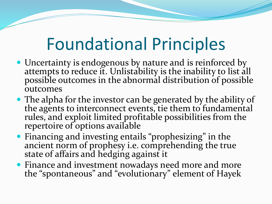### Foundational Principles

- Uncertainty is endogenous by nature and is reinforced by attempts to reduce it. Unlistability is the inability to list all possible outcomes in the abnormal distribution of possible outcomes
- The alpha for the investor can be generated by the ability of the agents to interconnect events, tie them to fundamental rules, and exploit limited profitable possibilities from the repertoire of options available
- Financing and investing entails "prophesizing" in the ancient norm of prophesy i.e. comprehending the true state of affairs and hedging against it
- Finance and investment nowadays need more and more the "spontaneous" and "evolutionary" element of Hayek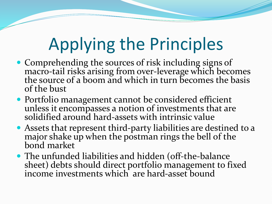- Comprehending the sources of risk including signs of macro-tail risks arising from over-leverage which becomes the source of a boom and which in turn becomes the basis of the bust
- Portfolio management cannot be considered efficient unless it encompasses a notion of investments that are solidified around hard-assets with intrinsic value
- Assets that represent third-party liabilities are destined to a major shake up when the postman rings the bell of the bond market
- The unfunded liabilities and hidden (off-the-balance sheet) debts should direct portfolio management to fixed income investments which are hard-asset bound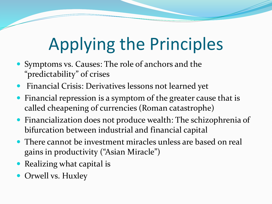- Symptoms vs. Causes: The role of anchors and the "predictability" of crises
- Financial Crisis: Derivatives lessons not learned yet
- Financial repression is a symptom of the greater cause that is called cheapening of currencies (Roman catastrophe)
- Financialization does not produce wealth: The schizophrenia of bifurcation between industrial and financial capital
- There cannot be investment miracles unless are based on real gains in productivity ("Asian Miracle")
- Realizing what capital is
- Orwell vs. Huxley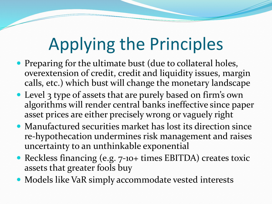- Preparing for the ultimate bust (due to collateral holes, overextension of credit, credit and liquidity issues, margin calls, etc.) which bust will change the monetary landscape
- Level 3 type of assets that are purely based on firm's own algorithms will render central banks ineffective since paper asset prices are either precisely wrong or vaguely right
- Manufactured securities market has lost its direction since re-hypothecation undermines risk management and raises uncertainty to an unthinkable exponential
- Reckless financing (e.g. 7-10+ times EBITDA) creates toxic assets that greater fools buy
- Models like VaR simply accommodate vested interests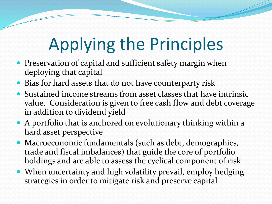- Preservation of capital and sufficient safety margin when deploying that capital
- Bias for hard assets that do not have counterparty risk
- Sustained income streams from asset classes that have intrinsic value. Consideration is given to free cash flow and debt coverage in addition to dividend yield
- A portfolio that is anchored on evolutionary thinking within a hard asset perspective
- Macroeconomic fundamentals (such as debt, demographics, trade and fiscal imbalances) that guide the core of portfolio holdings and are able to assess the cyclical component of risk
- When uncertainty and high volatility prevail, employ hedging strategies in order to mitigate risk and preserve capital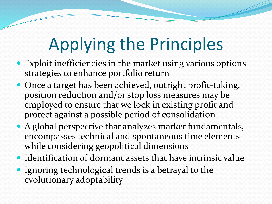- Exploit inefficiencies in the market using various options strategies to enhance portfolio return
- Once a target has been achieved, outright profit-taking, position reduction and/or stop loss measures may be employed to ensure that we lock in existing profit and protect against a possible period of consolidation
- A global perspective that analyzes market fundamentals, encompasses technical and spontaneous time elements while considering geopolitical dimensions
- Identification of dormant assets that have intrinsic value
- Ignoring technological trends is a betrayal to the evolutionary adoptability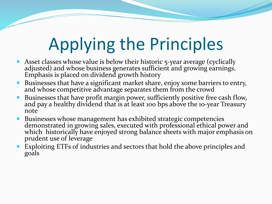- Asset classes whose value is below their historic 5-year average (cyclically adjusted) and whose business generates sufficient and growing earnings. Emphasis is placed on dividend growth history
- Businesses that have a significant market share, enjoy some barriers to entry, and whose competitive advantage separates them from the crowd
- Businesses that have profit margin power, sufficiently positive free cash flow, and pay a healthy dividend that is at least 100 bps above the 10-year Treasury note
- Businesses whose management has exhibited strategic competencies demonstrated in growing sales, executed with professional ethical power and which historically have enjoyed strong balance sheets with major emphasis on prudent use of leverage
- Exploiting ETFs of industries and sectors that hold the above principles and goals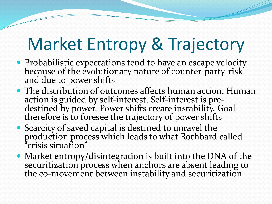### Market Entropy & Trajectory

- Probabilistic expectations tend to have an escape velocity because of the evolutionary nature of counter-party-risk and due to power shifts
- The distribution of outcomes affects human action. Human action is guided by self-interest. Self-interest is predestined by power. Power shifts create instability. Goal therefore is to foresee the trajectory of power shifts
- Scarcity of saved capital is destined to unravel the production process which leads to what Rothbard called "crisis situation"
- Market entropy/disintegration is built into the DNA of the securitization process when anchors are absent leading to the co-movement between instability and securitization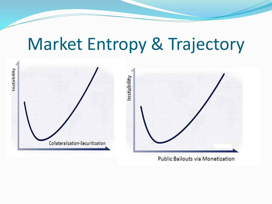#### Market Entropy & Trajectory